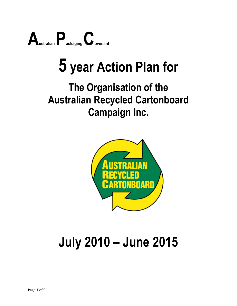

# **5 year Action Plan for**

### **The Organisation of the Australian Recycled Cartonboard Campaign Inc.**



## **July 2010 – June 2015**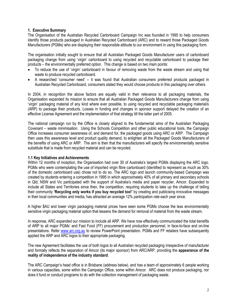#### **1. Executive Summary**

The Organisation of the Australian Recycled Cartonboard Campaign Inc was founded in 1995 to help consumers identify those products packaged in Australian Recycled Cartonboard (ARC) and to reward those Packaged Goods Manufacturers (PGMs) who are displaying their responsible attitude to our environment in using this packaging form.

The organisation initially sought to ensure that all Australian Packaged Goods Manufacturer users of cartonboard packaging change from using 'virgin' cartonboard to using recycled and recyclable cartonboard to package their products – the environmentally preferred option. This change is based on two main points:

- To reduce the use of 'virgin' cartonboard in favour of removing waste from the waste stream and using that waste to produce recycled cartonboard.
- A researched 'consumer need' it was found that Australian consumers preferred products packaged in Australian Recycled Cartonboard, consumers stated they would choose products in this packaging over others.

In 2004, in recognition the above factors are equally valid in their relevance to all packaging materials, the Organisation expanded its mission to ensure that all Australian Packaged Goods Manufacturers change from using 'virgin' packaging material of any kind where ever possible, to using recycled and recyclable packaging material/s (ARP) to package their products. Losses in funding and changes in sponsor support delayed the creation of an effective License Agreement and the implementation of that strategy till the latter part of 2005.

The national campaign run by the Office is closely aligned to the fundamental aims of the Australian Packaging Covenant – waste minimisation. Using the Schools Competition and other public educational tools, the Campaign Office increases consumer awareness of, and demand for, the packaged goods using ARC or ARP. The Campaign then uses this awareness level and product quality demand, to enlighten all the Packaged Goods Manufacturers of the benefits of using ARC or ARP. The aim is then that the manufacturers will specify the environmentally sensitive substitute that is made from recycled material and can be recycled.

#### **1.1 Key Initiatives and Achievements**

Within 12 months of inception, the Organisation had over 30 of Australia's largest PGMs displaying the ARC logo. PGMs who were contemplating the use of imported virgin fibre cartonboard (identified to represent as much as 30% of the domestic cartonboard use) chose not to do so. The ARC logo and launch community-based Campaign was created by students entering a competition in 1995 in which approximately 40% of all primary and secondary schools in Qld, NSW and Vic participated with the support of Australia's media and paper recycler, Amcor. Expanded to include all States and Territories since then, the competition, requiring students to take up the challenge of telling their community **'Recycling only works if you buy recycled too!'** by creating and publicising innovative messages in their local communities and media, has attracted an average 12% participation rate each year since.

A higher \$AU and lower virgin packaging material prices have seen some PGMs choose the less environmentally sensitive virgin packaging material option that lessens the demand for removal of material from the waste stream.

In response, ARC expanded our mission to include all ARP. We have now effectively communicated the total benefits of ARP to all major PGMs' and Fast Food (FF) procurement and production personnel, in face-to-face and on-line presentations. Refer [www.arc.org.au](http://www.arc.org.au/) to review PowerPoint presentation. PGMs and FF retailers have subsequently applied the ARP and ARC logos to their appropriate packaging.

The new Agreement facilitates the use of both logos to all Australian recycled packaging irrespective of manufacturer and formally reflects the separation of Amcor (its major sponsor) from ARC/ARP, providing the **appearance of the reality of independence of the industry standard**.

The ARC Campaign's head office is in Brisbane (address below), and has a team of approximately 6 people working in various capacities, some within the Campaign Office, some within Amcor. ARC does not produce packaging, nor does it fund or conduct programs to do with the collection management of packaging waste.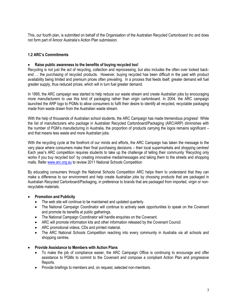This, our fourth plan, is submitted on behalf of the Organisation of the Australian Recycled Cartonboard Inc and does not form part of Amcor Australia's Action Plan submission.

#### **1.2 ARC's Commitments**

#### **Raise public awareness to the benefits of buying recycled too!**

Recycling is not just the act of recycling, collection and reprocessing, but also includes the often over looked backend … the *purchasing* of recycled products. However, buying recycled has been difficult in the past with product availability being limited and premium prices often prevailing. In a process that feeds itself, greater demand will fuel greater supply, thus reduced prices, which will in turn fuel greater demand.

In 1995, the ARC campaign was started to help reduce our waste stream and create Australian jobs by encouraging more manufacturers to use this kind of packaging rather than virgin cartonboard. In 2004, the ARC campaign launched the ARP logo to PGMs to allow consumers to fulfil their desire to identify all recycled, recyclable packaging made from waste drawn from the Australian waste stream.

With the help of thousands of Australian school students, the ARC Campaign has made tremendous progress! While the list of manufacturers who package in Australian Recycled Cartonboard/Packaging (ARC/ARP) diminishes with the number of PGM's manufacturing in Australia, the proportion of products carrying the logos remains significant – and that means less waste and more Australian jobs.

With the recycling cycle at the forefront of our minds and efforts, the ARC Campaign has taken the message to the very place where consumers make their final purchasing decisions – their local supermarkets and shopping centres! Each year's ARC competition requires students to take up the challenge of telling their community 'Recycling only works if you buy recycled too!' by creating innovative media/messages and taking them to the streets and shopping malls. Refe[r www.arc.org.au](http://www.arc.org.au/) to review 2011 National Schools Competition

By educating consumers through the National Schools Competition ARC helps them to understand that they can make a difference to our environment and help create Australian jobs by choosing products that are packaged in Australian Recycled Cartonboard/Packaging, in preference to brands that are packaged from imported, virgin or nonrecyclable materials.

#### **Promotion and Publicity**

- The web site will continue to be maintained and updated quarterly.
- The National Campaign Coordinator will continue to actively seek opportunities to speak on the Covenant and promote its benefits at public gatherings.
- The National Campaign Coordinator will handle enquiries on the Covenant.
- ARC will promote information kits and other information released by the Covenant Council.
- ARC promotional videos, CDs and printed material.
- The ARC National Schools Competition reaching into every community in Australia via all schools and shopping centres.
- **Provide Assistance to Members with Action Plans**
	- To make the job of compliance easier, the ARC Campaign Office is continuing to encourage and offer assistance to PGMs to commit to the Covenant and compose a compliant Action Plan and progressive Reports.
	- Provide briefings to members and, on request, selected non-members.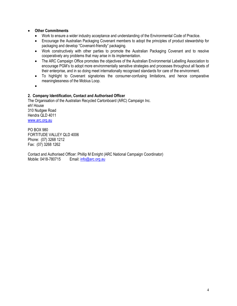#### **Other Commitments**

- Work to ensure a wider industry acceptance and understanding of the Environmental Code of Practice.
- Encourage the Australian Packaging Covenant members to adopt the principles of product stewardship for packaging and develop "Covenant-friendly" packaging.
- Work constructively with other parties to promote the Australian Packaging Covenant and to resolve cooperatively any problems that may arise in its implementation.
- The ARC Campaign Office promotes the objectives of the Australian Environmental Labelling Association to encourage PGM's to adopt more environmentally sensitive strategies and processes throughout all facets of their enterprise, and in so doing meet internationally recognised standards for care of the environment.
- To highlight to Covenant signatories the consumer-confusing limitations, and hence comparative meaninglessness of the Mobius Loop.
- $\bullet$

#### **2. Company Identification, Contact and Authorised Officer**

The Organisation of the Australian Recycled Cartonboard (ARC) Campaign Inc. eh! House 310 Nudgee Road Hendra QLD 4011 [www.arc.org.au](http://www.arc.org.au/)

PO BOX 980 FORTITUDE VALLEY QLD 4006 Phone: (07) 3268 1212 Fax: (07) 3268 1262

Contact and Authorised Officer: Phillip M Enright (ARC National Campaign Coordinator) Mobile: 0418-780715 Email[: info@arc.org.au](mailto:info@arc.org.au)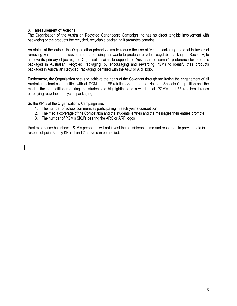#### **3. Measurement of Actions**

The Organisation of the Australian Recycled Cartonboard Campaign Inc has no direct tangible involvement with packaging or the products the recycled, recyclable packaging it promotes contains.

As stated at the outset, the Organisation primarily aims to reduce the use of 'virgin' packaging material in favour of removing waste from the waste stream and using that waste to produce recycled recyclable packaging. Secondly, to achieve its primary objective, the Organisation aims to support the Australian consumer's preference for products packaged in Australian Recycled Packaging, by encouraging and rewarding PGMs to identify their products packaged in Australian Recycled Packaging identified with the ARC or ARP logo.

Furthermore, the Organisation seeks to achieve the goals of the Covenant through facilitating the engagement of all Australian school communities with all PGM's and FF retailers via an annual National Schools Competition and the media, the competition requiring the students to highlighting and rewarding all PGM's and FF retailers' brands employing recyclable, recycled packaging.

So the KPI's of the Organisation's Campaign are;

- 1. The number of school communities participating in each year's competition
- 2. The media coverage of the Competition and the students' entries and the messages their entries promote
- 3. The number of PGM's SKU's bearing the ARC or ARP logos

Past experience has shown PGM's personnel will not invest the considerable time and resources to provide data in respect of point 3, only KPI's 1 and 2 above can be applied.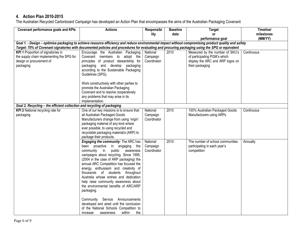#### **4. Action Plan 2010-2015**

The Australian Recycled Cartonboard Campaign has developed an Action Plan that encompasses the aims of the Australian Packaging Covenant

| <b>Covenant performance goals and KPIs</b>                                                                                                           | <b>Actions</b>                                                              | Responsibi              | <b>Baseline</b> | <b>Target</b>                               | Timeline/  |  |  |
|------------------------------------------------------------------------------------------------------------------------------------------------------|-----------------------------------------------------------------------------|-------------------------|-----------------|---------------------------------------------|------------|--|--|
|                                                                                                                                                      |                                                                             | lity                    | data            | <b>or</b>                                   | milestones |  |  |
|                                                                                                                                                      |                                                                             |                         |                 | performance goal                            | (MM/YY)    |  |  |
| Goal 1. - Design - optimise packaging to achieve resource efficiency and reduce environmental impact without compromising product quality and safety |                                                                             |                         |                 |                                             |            |  |  |
| Target: 70% of Covenant signatories with documented policies and procedures for evaluating and procuring packaging using the SPG or equivalent       |                                                                             |                         |                 |                                             |            |  |  |
| KPI 1 Proportion of signatories in                                                                                                                   | Encourage the Australian Packaging                                          | National                | 2010            | Measured by the number of SKU's             | Continuous |  |  |
| the supply chain implementing the SPG for                                                                                                            | Covenant members to adopt the                                               | Campaign                |                 | of participating PGM's which                |            |  |  |
| design or procurement of                                                                                                                             | principles of product stewardship for                                       | Coordinator             |                 | display the ARC and ARP logos on            |            |  |  |
| packaging                                                                                                                                            | packaging and develop packaging                                             |                         |                 | their packaging                             |            |  |  |
|                                                                                                                                                      | according to the Sustainable Packaging                                      |                         |                 |                                             |            |  |  |
|                                                                                                                                                      | Guidelines (SPG).                                                           |                         |                 |                                             |            |  |  |
|                                                                                                                                                      |                                                                             |                         |                 |                                             |            |  |  |
|                                                                                                                                                      | Work constructively with other parties to                                   |                         |                 |                                             |            |  |  |
|                                                                                                                                                      | promote the Australian Packaging                                            |                         |                 |                                             |            |  |  |
|                                                                                                                                                      | Covenant and to resolve cooperatively                                       |                         |                 |                                             |            |  |  |
|                                                                                                                                                      | any problems that may arise in its                                          |                         |                 |                                             |            |  |  |
|                                                                                                                                                      | implementation.                                                             |                         |                 |                                             |            |  |  |
| Goal 2. Recycling - the efficient collection and recycling of packaging                                                                              |                                                                             |                         |                 |                                             |            |  |  |
| KPI 2 National recycling rate for                                                                                                                    | One of our key missions is to ensure that                                   | National                | 2010            | 100% Australian Packaged Goods              | Continuous |  |  |
| packaging                                                                                                                                            | all Australian Packaged Goods                                               | Campaign                |                 | Manufacturers using ARPs                    |            |  |  |
|                                                                                                                                                      | Manufacturers change from using 'virgin'                                    | Coordinator             |                 |                                             |            |  |  |
|                                                                                                                                                      | packaging material of any kind where                                        |                         |                 |                                             |            |  |  |
|                                                                                                                                                      | ever possible, to using recycled and                                        |                         |                 |                                             |            |  |  |
|                                                                                                                                                      | recyclable packaging material/s (ARP) to                                    |                         |                 |                                             |            |  |  |
|                                                                                                                                                      | package their products.                                                     |                         | 2010            | The number of school communities            |            |  |  |
|                                                                                                                                                      | <b>Engaging the community:</b> The ARC has                                  | National                |                 |                                             | Annually   |  |  |
|                                                                                                                                                      | been proactive<br>in engaging the<br>community<br>in<br>public<br>awareness | Campaign<br>Coordinator |                 | participating in each year's<br>competition |            |  |  |
|                                                                                                                                                      | campaigns about recycling. Since 1995,                                      |                         |                 |                                             |            |  |  |
|                                                                                                                                                      | (2004 in the case of ARP packaging) the                                     |                         |                 |                                             |            |  |  |
|                                                                                                                                                      | annual ARC Competition has focused the                                      |                         |                 |                                             |            |  |  |
|                                                                                                                                                      | energy, enthusiasm and creativity of                                        |                         |                 |                                             |            |  |  |
|                                                                                                                                                      | thousands of students throughout                                            |                         |                 |                                             |            |  |  |
|                                                                                                                                                      | Australia whose entries and dedication                                      |                         |                 |                                             |            |  |  |
|                                                                                                                                                      | help raise community awareness about                                        |                         |                 |                                             |            |  |  |
|                                                                                                                                                      | the environmental benefits of ARC/ARP                                       |                         |                 |                                             |            |  |  |
|                                                                                                                                                      | packaging.                                                                  |                         |                 |                                             |            |  |  |
|                                                                                                                                                      |                                                                             |                         |                 |                                             |            |  |  |
|                                                                                                                                                      | Community Service<br>Announcements                                          |                         |                 |                                             |            |  |  |
|                                                                                                                                                      | developed and aired until the conclusion                                    |                         |                 |                                             |            |  |  |
|                                                                                                                                                      | of the National Schools Competition to                                      |                         |                 |                                             |            |  |  |
|                                                                                                                                                      | the<br>within<br>increase<br>awareness                                      |                         |                 |                                             |            |  |  |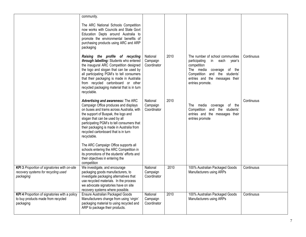|                                                                                                  | community.<br>The ARC National Schools Competition<br>now works with Councils and State Govt<br>Education Depts around Australia to<br>promote the environmental benefits of<br>purchasing products using ARC and ARP<br>packaging                                                                                                                             |                                     |      |                                                                                                                                                                                                                 |            |
|--------------------------------------------------------------------------------------------------|----------------------------------------------------------------------------------------------------------------------------------------------------------------------------------------------------------------------------------------------------------------------------------------------------------------------------------------------------------------|-------------------------------------|------|-----------------------------------------------------------------------------------------------------------------------------------------------------------------------------------------------------------------|------------|
|                                                                                                  | Raising the profile of recycling<br>through labelling: Students who entered<br>the inaugural ARC Competition designed<br>the logo and slogan that can be used by<br>all participating PGM's to tell consumers<br>that their packaging is made in Australia<br>from recycled cartonboard or other<br>recycled packaging material that is in turn<br>recyclable. | National<br>Campaign<br>Coordinator | 2010 | The number of school communities<br>participating<br>in<br>each<br>vear's<br>competition<br>The media coverage<br>of the<br>Competition and the students'<br>entries and the messages their<br>entries promote. | Continuous |
|                                                                                                  | Advertising and awareness: The ARC<br>Campaign Office produces and displays<br>on buses and trams across Australia, with<br>the support of Buspak, the logo and<br>slogan that can be used by all<br>participating PGM's to tell consumers that<br>their packaging is made in Australia from<br>recycled cartonboard that is in turn<br>recyclable.            | National<br>Campaign<br>Coordinator | 2010 | The media<br>coverage<br>of the<br>Competition and the students'<br>entries and the messages their<br>entries promote                                                                                           | Continuous |
|                                                                                                  | The ARC Campaign Office supports all<br>schools entering the ARC Competition in<br>its promotions of the students' efforts and<br>their objectives in entering the<br>competition                                                                                                                                                                              |                                     |      |                                                                                                                                                                                                                 |            |
| KPI 3 Proportion of signatories with on-site<br>recovery systems for recycling used<br>packaging | We investigate, and encourage<br>packaging goods manufacturers, to<br>investigate packaging alternatives that<br>use recycled materials. In the process<br>we advocate signatories have on site<br>recovery systems where possible.                                                                                                                            | National<br>Campaign<br>Coordinator | 2010 | 100% Australian Packaged Goods<br>Manufacturers using ARPs                                                                                                                                                      | Continuous |
| KPI 4 Proportion of signatories with a policy<br>to buy products made from recycled<br>packaging | <b>Ensure Australian Packaged Goods</b><br>Manufacturers change from using 'virgin'<br>packaging material to using recycled and<br>ARP to package their products.                                                                                                                                                                                              | National<br>Campaign<br>Coordinator | 2010 | 100% Australian Packaged Goods<br>Manufacturers using ARPs                                                                                                                                                      | Continuous |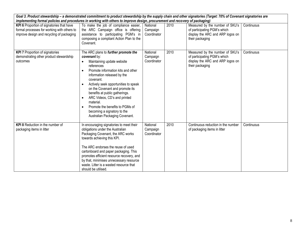| Goal 3. Product stewardship - a demonstrated commitment to product stewardship by the supply chain and other signatories (Target: 70% of Covenant signatories are<br>implementing formal policies and procedures in working with others to improve design, procurement and recovery of packaging) |                                                                                                                                                                                                                                                                                                                                                                                                                                                  |                                     |      |                                                                                                                        |            |  |
|---------------------------------------------------------------------------------------------------------------------------------------------------------------------------------------------------------------------------------------------------------------------------------------------------|--------------------------------------------------------------------------------------------------------------------------------------------------------------------------------------------------------------------------------------------------------------------------------------------------------------------------------------------------------------------------------------------------------------------------------------------------|-------------------------------------|------|------------------------------------------------------------------------------------------------------------------------|------------|--|
| KPI 6 Proportion of signatories that have<br>formal processes for working with others to<br>improve design and recycling of packaging                                                                                                                                                             | To make the job of compliance easier,<br>the ARC Campaign office is offering<br>assistance to participating PGM's in<br>composing a compliant Action Plan to the<br>Covenant.                                                                                                                                                                                                                                                                    | National<br>Campaign<br>Coordinator | 2010 | Measured by the number of SKU's<br>of participating PGM's which<br>display the ARC and ARP logos on<br>their packaging | Continuous |  |
| <b>KPI 7 Proportion of signatories</b><br>demonstrating other product stewardship<br>outcomes                                                                                                                                                                                                     | The ARC plans to further promote the<br>covenant by:<br>Maintaining update website<br>references<br>Promote information kits and other<br>information released by the<br>covenant.<br>Actively seek opportunities to speak<br>on the Covenant and promote its<br>benefits at public gatherings.<br>ARC Videos, CD's and printed<br>material.<br>Promote the benefits to PGMs of<br>becoming a signatory to the<br>Australian Packaging Covenant. | National<br>Campaign<br>Coordinator | 2010 | Measured by the number of SKU's<br>of participating PGM's which<br>display the ARC and ARP logos on<br>their packaging | Continuous |  |
| <b>KPI 8</b> Reduction in the number of<br>packaging items in litter                                                                                                                                                                                                                              | In encouraging signatories to meet their<br>obligations under the Australian<br>Packaging Covenant, the ARC works<br>towards achieving this KPI.<br>The ARC endorses the reuse of used<br>cartonboard and paper packaging. This<br>promotes efficient resource recovery, and<br>by that, minimises unnecessary resource<br>waste. Litter is a wasted resource that<br>should be utilised.                                                        | National<br>Campaign<br>Coordinator | 2010 | Continuous reduction in the number<br>of packaging items in litter                                                     | Continuous |  |